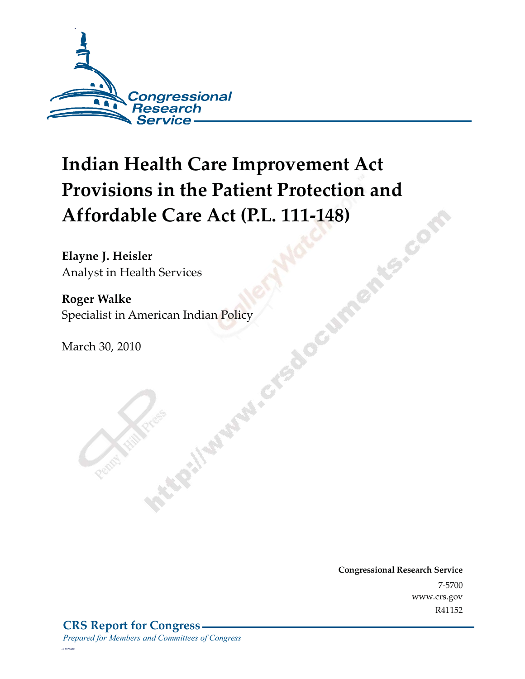

# **Indian Health Care Improvement Act Provisions in the Patient Protection and Affordable Care Act (P.L. 111-148) SMIS-COY**

**Elayne J. Heisler**  Analyst in Health Services

**Roger Walke**  Specialist in American Indian Policy<br>March 30, 2010

March 30, 2010

**Congressional Research Service** 7-5700 www.crs.gov R41152

*c11173008*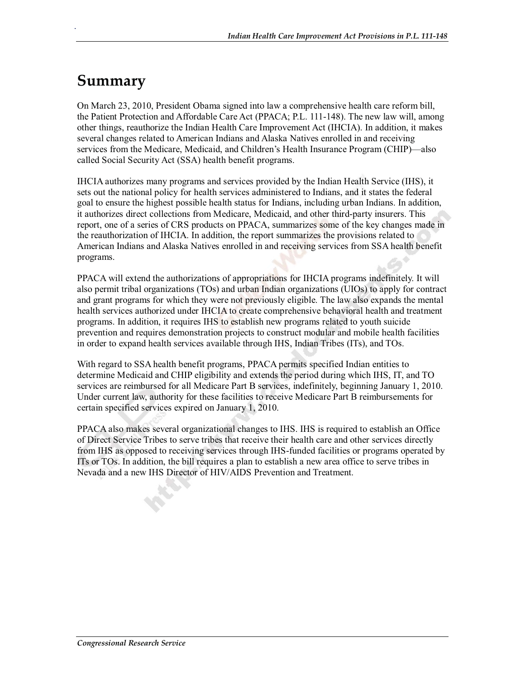### **Summary**

.

On March 23, 2010, President Obama signed into law a comprehensive health care reform bill, the Patient Protection and Affordable Care Act (PPACA; P.L. 111-148). The new law will, among other things, reauthorize the Indian Health Care Improvement Act (IHCIA). In addition, it makes several changes related to American Indians and Alaska Natives enrolled in and receiving services from the Medicare, Medicaid, and Children's Health Insurance Program (CHIP)—also called Social Security Act (SSA) health benefit programs.

IHCIA authorizes many programs and services provided by the Indian Health Service (IHS), it sets out the national policy for health services administered to Indians, and it states the federal goal to ensure the highest possible health status for Indians, including urban Indians. In addition, it authorizes direct collections from Medicare, Medicaid, and other third-party insurers. This report, one of a series of CRS products on PPACA, summarizes some of the key changes made in the reauthorization of IHCIA. In addition, the report summarizes the provisions related to American Indians and Alaska Natives enrolled in and receiving services from SSA health benefit programs.

PPACA will extend the authorizations of appropriations for IHCIA programs indefinitely. It will also permit tribal organizations (TOs) and urban Indian organizations (UIOs) to apply for contract and grant programs for which they were not previously eligible. The law also expands the mental health services authorized under IHCIA to create comprehensive behavioral health and treatment programs. In addition, it requires IHS to establish new programs related to youth suicide prevention and requires demonstration projects to construct modular and mobile health facilities in order to expand health services available through IHS, Indian Tribes (ITs), and TOs.

With regard to SSA health benefit programs, PPACA permits specified Indian entities to determine Medicaid and CHIP eligibility and extends the period during which IHS, IT, and TO services are reimbursed for all Medicare Part B services, indefinitely, beginning January 1, 2010. Under current law, authority for these facilities to receive Medicare Part B reimbursements for certain specified services expired on January 1, 2010.

PPACA also makes several organizational changes to IHS. IHS is required to establish an Office of Direct Service Tribes to serve tribes that receive their health care and other services directly from IHS as opposed to receiving services through IHS-funded facilities or programs operated by ITs or TOs. In addition, the bill requires a plan to establish a new area office to serve tribes in Nevada and a new IHS Director of HIV/AIDS Prevention and Treatment.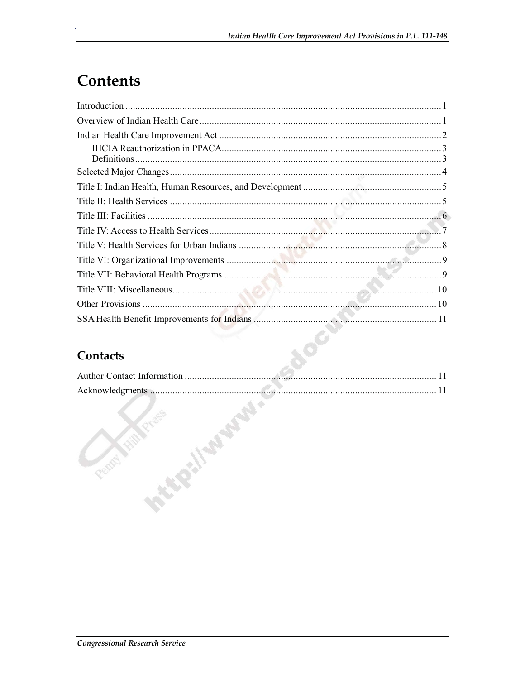## **Contents**

#### **Contacts**

AOC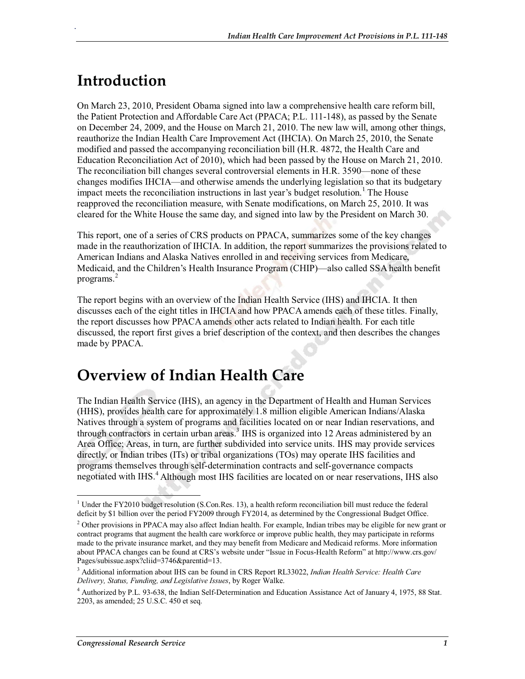## **Introduction**

.

On March 23, 2010, President Obama signed into law a comprehensive health care reform bill, the Patient Protection and Affordable Care Act (PPACA; P.L. 111-148), as passed by the Senate on December 24, 2009, and the House on March 21, 2010. The new law will, among other things, reauthorize the Indian Health Care Improvement Act (IHCIA). On March 25, 2010, the Senate modified and passed the accompanying reconciliation bill (H.R. 4872, the Health Care and Education Reconciliation Act of 2010), which had been passed by the House on March 21, 2010. The reconciliation bill changes several controversial elements in H.R. 3590—none of these changes modifies IHCIA—and otherwise amends the underlying legislation so that its budgetary impact meets the reconciliation instructions in last year's budget resolution.<sup>1</sup> The House reapproved the reconciliation measure, with Senate modifications, on March 25, 2010. It was cleared for the White House the same day, and signed into law by the President on March 30.

This report, one of a series of CRS products on PPACA, summarizes some of the key changes made in the reauthorization of IHCIA. In addition, the report summarizes the provisions related to American Indians and Alaska Natives enrolled in and receiving services from Medicare, Medicaid, and the Children's Health Insurance Program (CHIP)—also called SSA health benefit programs.<sup>2</sup>

The report begins with an overview of the Indian Health Service (IHS) and IHCIA. It then discusses each of the eight titles in IHCIA and how PPACA amends each of these titles. Finally, the report discusses how PPACA amends other acts related to Indian health. For each title discussed, the report first gives a brief description of the context, and then describes the changes made by PPACA.

#### **Overview of Indian Health Care**

The Indian Health Service (IHS), an agency in the Department of Health and Human Services (HHS), provides health care for approximately 1.8 million eligible American Indians/Alaska Natives through a system of programs and facilities located on or near Indian reservations, and through contractors in certain urban areas.<sup>3</sup> IHS is organized into 12 Areas administered by an Area Office; Areas, in turn, are further subdivided into service units. IHS may provide services directly, or Indian tribes (ITs) or tribal organizations (TOs) may operate IHS facilities and programs themselves through self-determination contracts and self-governance compacts negotiated with IHS.<sup>4</sup> Although most IHS facilities are located on or near reservations, IHS also

<sup>&</sup>lt;sup>1</sup> Under the FY2010 budget resolution (S.Con.Res. 13), a health reform reconciliation bill must reduce the federal deficit by \$1 billion over the period FY2009 through FY2014, as determined by the Congressional Budget Office.

 $2$  Other provisions in PPACA may also affect Indian health. For example, Indian tribes may be eligible for new grant or contract programs that augment the health care workforce or improve public health, they may participate in reforms made to the private insurance market, and they may benefit from Medicare and Medicaid reforms. More information about PPACA changes can be found at CRS's website under "Issue in Focus-Health Reform" at http://www.crs.gov/ Pages/subissue.aspx?cliid=3746&parentid=13.

<sup>3</sup> Additional information about IHS can be found in CRS Report RL33022, *Indian Health Service: Health Care Delivery, Status, Funding, and Legislative Issues*, by Roger Walke.

<sup>&</sup>lt;sup>4</sup> Authorized by P.L. 93-638, the Indian Self-Determination and Education Assistance Act of January 4, 1975, 88 Stat. 2203, as amended; 25 U.S.C. 450 et seq.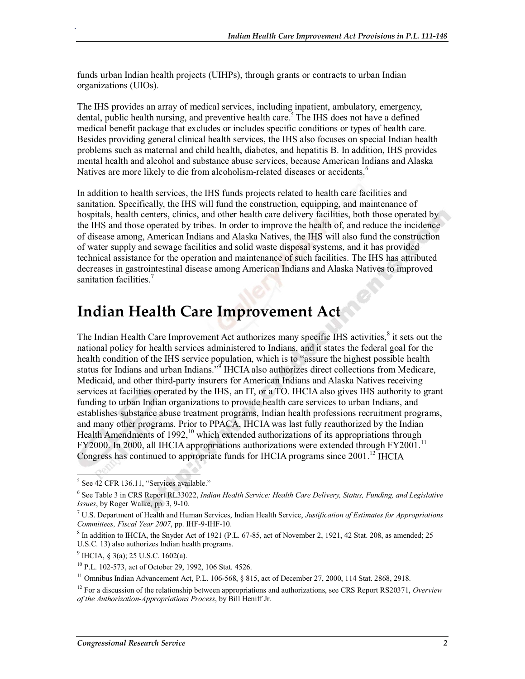funds urban Indian health projects (UIHPs), through grants or contracts to urban Indian organizations (UIOs).

The IHS provides an array of medical services, including inpatient, ambulatory, emergency, dental, public health nursing, and preventive health care.<sup>5</sup> The IHS does not have a defined medical benefit package that excludes or includes specific conditions or types of health care. Besides providing general clinical health services, the IHS also focuses on special Indian health problems such as maternal and child health, diabetes, and hepatitis B. In addition, IHS provides mental health and alcohol and substance abuse services, because American Indians and Alaska Natives are more likely to die from alcoholism-related diseases or accidents.<sup>6</sup>

In addition to health services, the IHS funds projects related to health care facilities and sanitation. Specifically, the IHS will fund the construction, equipping, and maintenance of hospitals, health centers, clinics, and other health care delivery facilities, both those operated by the IHS and those operated by tribes. In order to improve the health of, and reduce the incidence of disease among, American Indians and Alaska Natives, the IHS will also fund the construction of water supply and sewage facilities and solid waste disposal systems, and it has provided technical assistance for the operation and maintenance of such facilities. The IHS has attributed decreases in gastrointestinal disease among American Indians and Alaska Natives to improved sanitation facilities.<sup>7</sup>

### **Indian Health Care Improvement Act**

The Indian Health Care Improvement Act authorizes many specific IHS activities,<sup>8</sup> it sets out the national policy for health services administered to Indians, and it states the federal goal for the health condition of the IHS service population, which is to "assure the highest possible health status for Indians and urban Indians."<sup>9</sup> IHCIA also authorizes direct collections from Medicare, Medicaid, and other third-party insurers for American Indians and Alaska Natives receiving services at facilities operated by the IHS, an IT, or a TO. IHCIA also gives IHS authority to grant funding to urban Indian organizations to provide health care services to urban Indians, and establishes substance abuse treatment programs, Indian health professions recruitment programs, and many other programs. Prior to PPACA, IHCIA was last fully reauthorized by the Indian Health Amendments of  $1992$ ,<sup>10</sup> which extended authorizations of its appropriations through FY2000. In 2000, all IHCIA appropriations authorizations were extended through FY2001.<sup>11</sup> Congress has continued to appropriate funds for IHCIA programs since 2001.<sup>12</sup> IHCIA

.

<sup>5</sup> See 42 CFR 136.11, "Services available."

<sup>6</sup> See Table 3 in CRS Report RL33022, *Indian Health Service: Health Care Delivery, Status, Funding, and Legislative Issues*, by Roger Walke, pp. 3, 9-10.

<sup>7</sup> U.S. Department of Health and Human Services, Indian Health Service, *Justification of Estimates for Appropriations Committees, Fiscal Year 2007*, pp. IHF-9-IHF-10.

 $8$  In addition to IHCIA, the Snyder Act of 1921 (P.L. 67-85, act of November 2, 1921, 42 Stat. 208, as amended; 25 U.S.C. 13) also authorizes Indian health programs.

 $^9$  IHCIA, § 3(a); 25 U.S.C. 1602(a).

<sup>10</sup> P.L. 102-573, act of October 29, 1992, 106 Stat. 4526.

<sup>&</sup>lt;sup>11</sup> Omnibus Indian Advancement Act, P.L. 106-568, § 815, act of December 27, 2000, 114 Stat. 2868, 2918.

<sup>12</sup> For a discussion of the relationship between appropriations and authorizations, see CRS Report RS20371, *Overview of the Authorization-Appropriations Process*, by Bill Heniff Jr.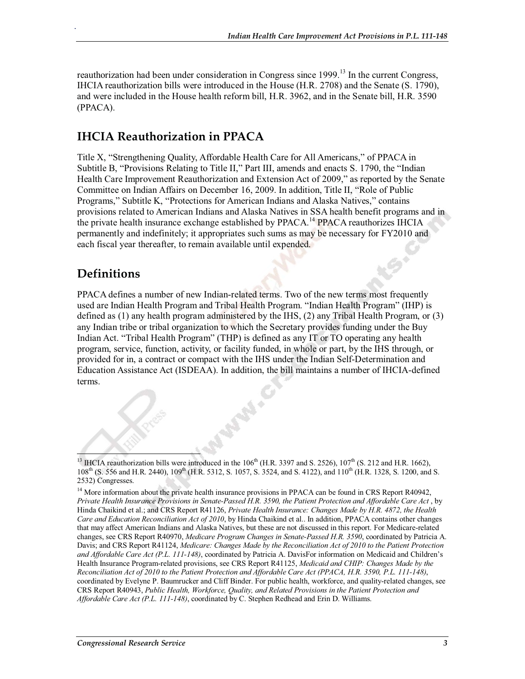reauthorization had been under consideration in Congress since  $1999$ .<sup>13</sup> In the current Congress, IHCIA reauthorization bills were introduced in the House (H.R. 2708) and the Senate (S. 1790), and were included in the House health reform bill, H.R. 3962, and in the Senate bill, H.R. 3590 (PPACA).

#### **IHCIA Reauthorization in PPACA**

Title X, "Strengthening Quality, Affordable Health Care for All Americans," of PPACA in Subtitle B, "Provisions Relating to Title II," Part III, amends and enacts S. 1790, the "Indian Health Care Improvement Reauthorization and Extension Act of 2009," as reported by the Senate Committee on Indian Affairs on December 16, 2009. In addition, Title II, "Role of Public Programs," Subtitle K, "Protections for American Indians and Alaska Natives," contains provisions related to American Indians and Alaska Natives in SSA health benefit programs and in the private health insurance exchange established by PPACA.<sup>14</sup> PPACA reauthorizes IHCIA permanently and indefinitely; it appropriates such sums as may be necessary for FY2010 and each fiscal year thereafter, to remain available until expended.

#### **Definitions**

.

PPACA defines a number of new Indian-related terms. Two of the new terms most frequently used are Indian Health Program and Tribal Health Program. "Indian Health Program" (IHP) is defined as (1) any health program administered by the IHS, (2) any Tribal Health Program, or (3) any Indian tribe or tribal organization to which the Secretary provides funding under the Buy Indian Act. "Tribal Health Program" (THP) is defined as any IT or TO operating any health program, service, function, activity, or facility funded, in whole or part, by the IHS through, or provided for in, a contract or compact with the IHS under the Indian Self-Determination and Education Assistance Act (ISDEAA). In addition, the bill maintains a number of IHCIA-defined terms.

<sup>&</sup>lt;sup>13</sup> IHCIA reauthorization bills were introduced in the 106<sup>th</sup> (H.R. 3397 and S. 2526),  $107<sup>th</sup>$  (S. 212 and H.R. 1662), 108<sup>th</sup> (S. 556 and H.R. 2440), 109<sup>th</sup> (H.R. 5312, S. 1057, S. 3524, and S. 4122), and 110<sup>th</sup> (H.R. 1328, S. 1200, and S. 2532) Congresses.

<sup>&</sup>lt;sup>14</sup> More information about the private health insurance provisions in PPACA can be found in CRS Report R40942, *Private Health Insurance Provisions in Senate-Passed H.R. 3590, the Patient Protection and Affordable Care Act* , by Hinda Chaikind et al.; and CRS Report R41126, *Private Health Insurance: Changes Made by H.R. 4872, the Health Care and Education Reconciliation Act of 2010*, by Hinda Chaikind et al.. In addition, PPACA contains other changes that may affect American Indians and Alaska Natives, but these are not discussed in this report. For Medicare-related changes, see CRS Report R40970, *Medicare Program Changes in Senate-Passed H.R. 3590*, coordinated by Patricia A. Davis; and CRS Report R41124, *Medicare: Changes Made by the Reconciliation Act of 2010 to the Patient Protection and Affordable Care Act (P.L. 111-148)*, coordinated by Patricia A. DavisFor information on Medicaid and Children's Health Insurance Program-related provisions, see CRS Report R41125, *Medicaid and CHIP: Changes Made by the Reconciliation Act of 2010 to the Patient Protection and Affordable Care Act (PPACA, H.R. 3590, P.L. 111-148)*, coordinated by Evelyne P. Baumrucker and Cliff Binder. For public health, workforce, and quality-related changes, see CRS Report R40943, *Public Health, Workforce, Quality, and Related Provisions in the Patient Protection and Affordable Care Act (P.L. 111-148)*, coordinated by C. Stephen Redhead and Erin D. Williams.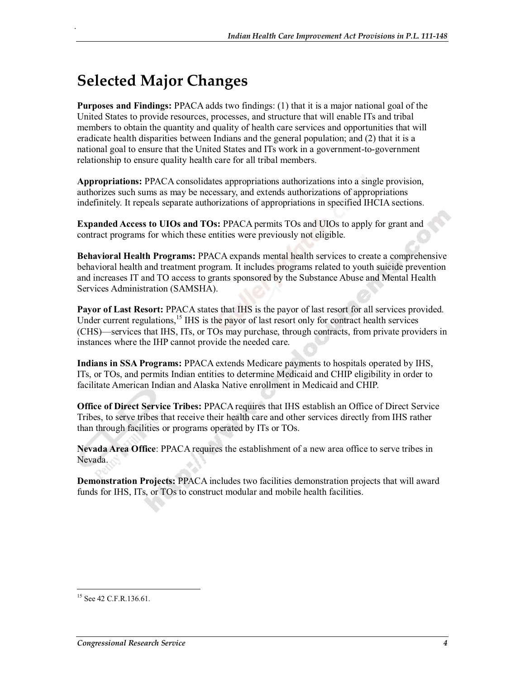## **Selected Major Changes**

.

**Purposes and Findings:** PPACA adds two findings: (1) that it is a major national goal of the United States to provide resources, processes, and structure that will enable ITs and tribal members to obtain the quantity and quality of health care services and opportunities that will eradicate health disparities between Indians and the general population; and (2) that it is a national goal to ensure that the United States and ITs work in a government-to-government relationship to ensure quality health care for all tribal members.

**Appropriations:** PPACA consolidates appropriations authorizations into a single provision, authorizes such sums as may be necessary, and extends authorizations of appropriations indefinitely. It repeals separate authorizations of appropriations in specified IHCIA sections.

**Expanded Access to UIOs and TOs:** PPACA permits TOs and UIOs to apply for grant and contract programs for which these entities were previously not eligible.

**Behavioral Health Programs:** PPACA expands mental health services to create a comprehensive behavioral health and treatment program. It includes programs related to youth suicide prevention and increases IT and TO access to grants sponsored by the Substance Abuse and Mental Health Services Administration (SAMSHA).

**Payor of Last Resort:** PPACA states that IHS is the payor of last resort for all services provided. Under current regulations,<sup>15</sup> IHS is the payor of last resort only for contract health services (CHS)—services that IHS, ITs, or TOs may purchase, through contracts, from private providers in instances where the IHP cannot provide the needed care.

**Indians in SSA Programs:** PPACA extends Medicare payments to hospitals operated by IHS, ITs, or TOs, and permits Indian entities to determine Medicaid and CHIP eligibility in order to facilitate American Indian and Alaska Native enrollment in Medicaid and CHIP.

**Office of Direct Service Tribes:** PPACA requires that IHS establish an Office of Direct Service Tribes, to serve tribes that receive their health care and other services directly from IHS rather than through facilities or programs operated by ITs or TOs.

**Nevada Area Office**: PPACA requires the establishment of a new area office to serve tribes in Nevada.

**Demonstration Projects:** PPACA includes two facilities demonstration projects that will award funds for IHS, ITs, or TOs to construct modular and mobile health facilities.

<sup>&</sup>lt;sup>15</sup> See 42 C.F.R.136.61.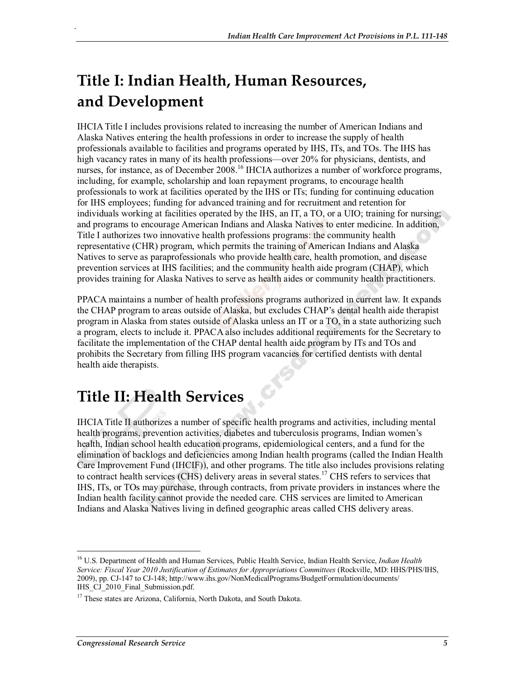# **Title I: Indian Health, Human Resources, and Development**

IHCIA Title I includes provisions related to increasing the number of American Indians and Alaska Natives entering the health professions in order to increase the supply of health professionals available to facilities and programs operated by IHS, ITs, and TOs. The IHS has high vacancy rates in many of its health professions—over 20% for physicians, dentists, and nurses, for instance, as of December 2008.<sup>16</sup> IHCIA authorizes a number of workforce programs, including, for example, scholarship and loan repayment programs, to encourage health professionals to work at facilities operated by the IHS or ITs; funding for continuing education for IHS employees; funding for advanced training and for recruitment and retention for individuals working at facilities operated by the IHS, an IT, a TO, or a UIO; training for nursing; and programs to encourage American Indians and Alaska Natives to enter medicine. In addition, Title I authorizes two innovative health professions programs: the community health representative (CHR) program, which permits the training of American Indians and Alaska Natives to serve as paraprofessionals who provide health care, health promotion, and disease prevention services at IHS facilities; and the community health aide program (CHAP), which provides training for Alaska Natives to serve as health aides or community health practitioners.

PPACA maintains a number of health professions programs authorized in current law. It expands the CHAP program to areas outside of Alaska, but excludes CHAP's dental health aide therapist program in Alaska from states outside of Alaska unless an IT or a TO, in a state authorizing such a program, elects to include it. PPACA also includes additional requirements for the Secretary to facilitate the implementation of the CHAP dental health aide program by ITs and TOs and prohibits the Secretary from filling IHS program vacancies for certified dentists with dental health aide therapists.

# **Title II: Health Services**

.

IHCIA Title II authorizes a number of specific health programs and activities, including mental health programs, prevention activities, diabetes and tuberculosis programs, Indian women's health, Indian school health education programs, epidemiological centers, and a fund for the elimination of backlogs and deficiencies among Indian health programs (called the Indian Health Care Improvement Fund (IHCIF)), and other programs. The title also includes provisions relating to contract health services (CHS) delivery areas in several states.17 CHS refers to services that IHS, ITs, or TOs may purchase, through contracts, from private providers in instances where the Indian health facility cannot provide the needed care. CHS services are limited to American Indians and Alaska Natives living in defined geographic areas called CHS delivery areas.

<sup>16</sup> U.S. Department of Health and Human Services, Public Health Service, Indian Health Service, *Indian Health Service: Fiscal Year 2010 Justification of Estimates for Appropriations Committees* (Rockville, MD: HHS/PHS/IHS, 2009), pp. CJ-147 to CJ-148; http://www.ihs.gov/NonMedicalPrograms/BudgetFormulation/documents/ IHS CJ 2010 Final Submission.pdf.

<sup>&</sup>lt;sup>17</sup> These states are Arizona, California, North Dakota, and South Dakota.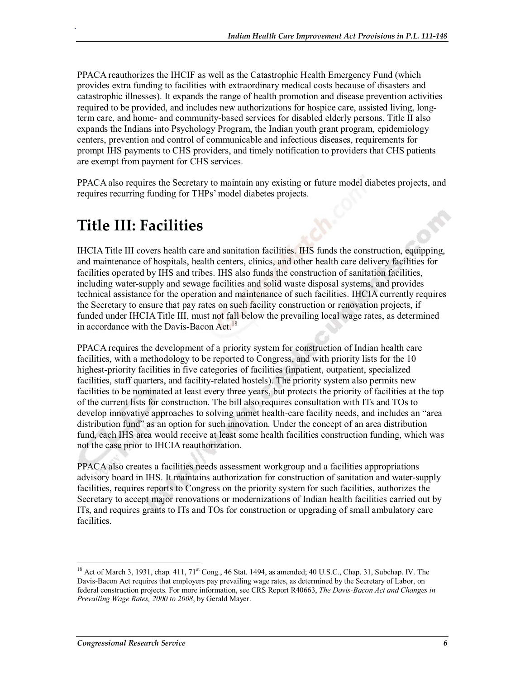PPACA reauthorizes the IHCIF as well as the Catastrophic Health Emergency Fund (which provides extra funding to facilities with extraordinary medical costs because of disasters and catastrophic illnesses). It expands the range of health promotion and disease prevention activities required to be provided, and includes new authorizations for hospice care, assisted living, longterm care, and home- and community-based services for disabled elderly persons. Title II also expands the Indians into Psychology Program, the Indian youth grant program, epidemiology centers, prevention and control of communicable and infectious diseases, requirements for prompt IHS payments to CHS providers, and timely notification to providers that CHS patients are exempt from payment for CHS services.

PPACA also requires the Secretary to maintain any existing or future model diabetes projects, and requires recurring funding for THPs' model diabetes projects.

## **Title III: Facilities**

.

IHCIA Title III covers health care and sanitation facilities. IHS funds the construction, equipping, and maintenance of hospitals, health centers, clinics, and other health care delivery facilities for facilities operated by IHS and tribes. IHS also funds the construction of sanitation facilities, including water-supply and sewage facilities and solid waste disposal systems, and provides technical assistance for the operation and maintenance of such facilities. IHCIA currently requires the Secretary to ensure that pay rates on such facility construction or renovation projects, if funded under IHCIA Title III, must not fall below the prevailing local wage rates, as determined in accordance with the Davis-Bacon Act.<sup>18</sup>

PPACA requires the development of a priority system for construction of Indian health care facilities, with a methodology to be reported to Congress, and with priority lists for the 10 highest-priority facilities in five categories of facilities (inpatient, outpatient, specialized facilities, staff quarters, and facility-related hostels). The priority system also permits new facilities to be nominated at least every three years, but protects the priority of facilities at the top of the current lists for construction. The bill also requires consultation with ITs and TOs to develop innovative approaches to solving unmet health-care facility needs, and includes an "area distribution fund" as an option for such innovation. Under the concept of an area distribution fund, each IHS area would receive at least some health facilities construction funding, which was not the case prior to IHCIA reauthorization.

PPACA also creates a facilities needs assessment workgroup and a facilities appropriations advisory board in IHS. It maintains authorization for construction of sanitation and water-supply facilities, requires reports to Congress on the priority system for such facilities, authorizes the Secretary to accept major renovations or modernizations of Indian health facilities carried out by ITs, and requires grants to ITs and TOs for construction or upgrading of small ambulatory care facilities.

<sup>&</sup>lt;sup>18</sup> Act of March 3, 1931, chap. 411, 71<sup>st</sup> Cong., 46 Stat. 1494, as amended; 40 U.S.C., Chap. 31, Subchap. IV. The Davis-Bacon Act requires that employers pay prevailing wage rates, as determined by the Secretary of Labor, on federal construction projects. For more information, see CRS Report R40663, *The Davis-Bacon Act and Changes in Prevailing Wage Rates, 2000 to 2008*, by Gerald Mayer.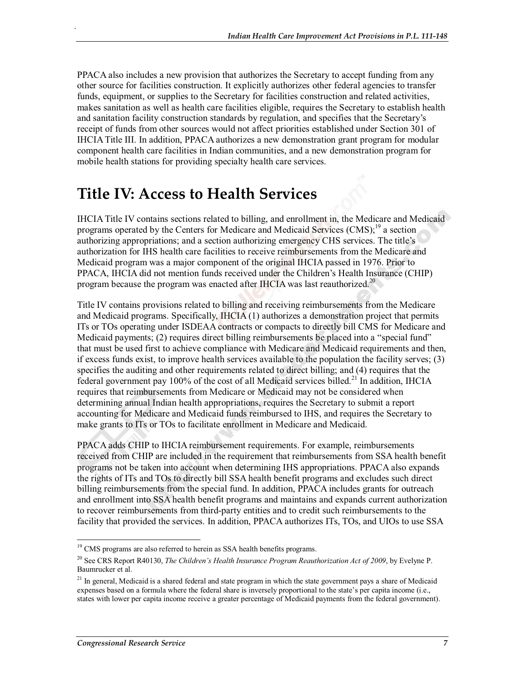PPACA also includes a new provision that authorizes the Secretary to accept funding from any other source for facilities construction. It explicitly authorizes other federal agencies to transfer funds, equipment, or supplies to the Secretary for facilities construction and related activities, makes sanitation as well as health care facilities eligible, requires the Secretary to establish health and sanitation facility construction standards by regulation, and specifies that the Secretary's receipt of funds from other sources would not affect priorities established under Section 301 of IHCIA Title III. In addition, PPACA authorizes a new demonstration grant program for modular component health care facilities in Indian communities, and a new demonstration program for mobile health stations for providing specialty health care services.

### **Title IV: Access to Health Services**

.

IHCIA Title IV contains sections related to billing, and enrollment in, the Medicare and Medicaid programs operated by the Centers for Medicare and Medicaid Services (CMS);<sup>19</sup> a section authorizing appropriations; and a section authorizing emergency CHS services. The title's authorization for IHS health care facilities to receive reimbursements from the Medicare and Medicaid program was a major component of the original IHCIA passed in 1976. Prior to PPACA, IHCIA did not mention funds received under the Children's Health Insurance (CHIP) program because the program was enacted after IHCIA was last reauthorized.<sup>20</sup>

Title IV contains provisions related to billing and receiving reimbursements from the Medicare and Medicaid programs. Specifically, IHCIA (1) authorizes a demonstration project that permits ITs or TOs operating under ISDEAA contracts or compacts to directly bill CMS for Medicare and Medicaid payments; (2) requires direct billing reimbursements be placed into a "special fund" that must be used first to achieve compliance with Medicare and Medicaid requirements and then, if excess funds exist, to improve health services available to the population the facility serves; (3) specifies the auditing and other requirements related to direct billing; and (4) requires that the federal government pay 100% of the cost of all Medicaid services billed.<sup>21</sup> In addition, IHCIA requires that reimbursements from Medicare or Medicaid may not be considered when determining annual Indian health appropriations, requires the Secretary to submit a report accounting for Medicare and Medicaid funds reimbursed to IHS, and requires the Secretary to make grants to ITs or TOs to facilitate enrollment in Medicare and Medicaid.

PPACA adds CHIP to IHCIA reimbursement requirements. For example, reimbursements received from CHIP are included in the requirement that reimbursements from SSA health benefit programs not be taken into account when determining IHS appropriations. PPACA also expands the rights of ITs and TOs to directly bill SSA health benefit programs and excludes such direct billing reimbursements from the special fund. In addition, PPACA includes grants for outreach and enrollment into SSA health benefit programs and maintains and expands current authorization to recover reimbursements from third-party entities and to credit such reimbursements to the facility that provided the services. In addition, PPACA authorizes ITs, TOs, and UIOs to use SSA

<sup>&</sup>lt;sup>19</sup> CMS programs are also referred to herein as SSA health benefits programs.

<sup>20</sup> See CRS Report R40130, *The Children's Health Insurance Program Reauthorization Act of 2009*, by Evelyne P. Baumrucker et al.

<sup>&</sup>lt;sup>21</sup> In general, Medicaid is a shared federal and state program in which the state government pays a share of Medicaid expenses based on a formula where the federal share is inversely proportional to the state's per capita income (i.e., states with lower per capita income receive a greater percentage of Medicaid payments from the federal government).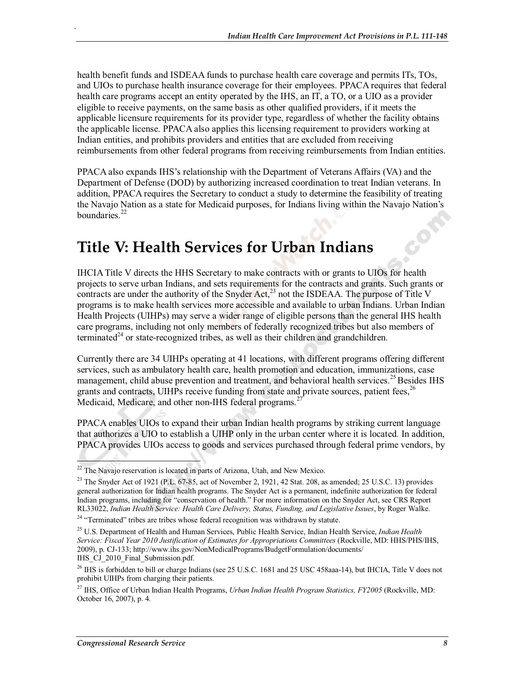health benefit funds and ISDEAA funds to purchase health care coverage and permits ITs, TOs, and UIOs to purchase health insurance coverage for their employees. PPACA requires that federal health care programs accept an entity operated by the IHS, an IT, a TO, or a UIO as a provider eligible to receive payments, on the same basis as other qualified providers, if it meets the applicable licensure requirements for its provider type, regardless of whether the facility obtains the applicable license. PPACA also applies this licensing requirement to providers working at Indian entities, and prohibits providers and entities that are excluded from receiving reimbursements from other federal programs from receiving reimbursements from Indian entities.

PPACA also expands IHS's relationship with the Department of Veterans Affairs (VA) and the Department of Defense (DOD) by authorizing increased coordination to treat Indian veterans. In addition, PPACA requires the Secretary to conduct a study to determine the feasibility of treating the Navajo Nation as a state for Medicaid purposes, for Indians living within the Navajo Nation's boundaries. $^{22}$ 

### **Title V: Health Services for Urban Indians**

IHCIA Title V directs the HHS Secretary to make contracts with or grants to UIOs for health projects to serve urban Indians, and sets requirements for the contracts and grants. Such grants or contracts are under the authority of the Snyder Act, $^{23}$  not the ISDEAA. The purpose of Title V programs is to make health services more accessible and available to urban Indians. Urban Indian Health Projects (UIHPs) may serve a wider range of eligible persons than the general IHS health care programs, including not only members of federally recognized tribes but also members of terminated $^{24}$  or state-recognized tribes, as well as their children and grandchildren.

Currently there are 34 UIHPs operating at 41 locations, with different programs offering different services, such as ambulatory health care, health promotion and education, immunizations, case management, child abuse prevention and treatment, and behavioral health services.<sup>25</sup> Besides IHS grants and contracts, UIHPs receive funding from state and private sources, patient fees,  $26$ Medicaid, Medicare, and other non-IHS federal programs.<sup>27</sup>

PPACA enables UIOs to expand their urban Indian health programs by striking current language that authorizes a UIO to establish a UIHP only in the urban center where it is located. In addition, PPACA provides UIOs access to goods and services purchased through federal prime vendors, by

.

 $22$  The Navajo reservation is located in parts of Arizona, Utah, and New Mexico.

 $^{23}$  The Snyder Act of 1921 (P.L. 67-85, act of November 2, 1921, 42 Stat. 208, as amended; 25 U.S.C. 13) provides general authorization for Indian health programs. The Snyder Act is a permanent, indefinite authorization for federal Indian programs, including for "conservation of health." For more information on the Snyder Act, see CRS Report RL33022, *Indian Health Service: Health Care Delivery, Status, Funding, and Legislative Issues*, by Roger Walke.<br><sup>24</sup> "Terminated" tribes are tribes whose federal recognition was withdrawn by statute.

<sup>25</sup> U.S. Department of Health and Human Services, Public Health Service, Indian Health Service, *Indian Health Service: Fiscal Year 2010 Justification of Estimates for Appropriations Committees* (Rockville, MD: HHS/PHS/IHS, 2009), p. CJ-133; http://www.ihs.gov/NonMedicalPrograms/BudgetFormulation/documents/ IHS CJ 2010 Final Submission.pdf.

<sup>&</sup>lt;sup>26</sup> IHS is forbidden to bill or charge Indians (see 25 U.S.C. 1681 and 25 USC 458aaa-14), but IHCIA, Title V does not prohibit UIHPs from charging their patients.

<sup>27</sup> IHS, Office of Urban Indian Health Programs, *Urban Indian Health Program Statistics, FY2005* (Rockville, MD: October 16, 2007), p. 4.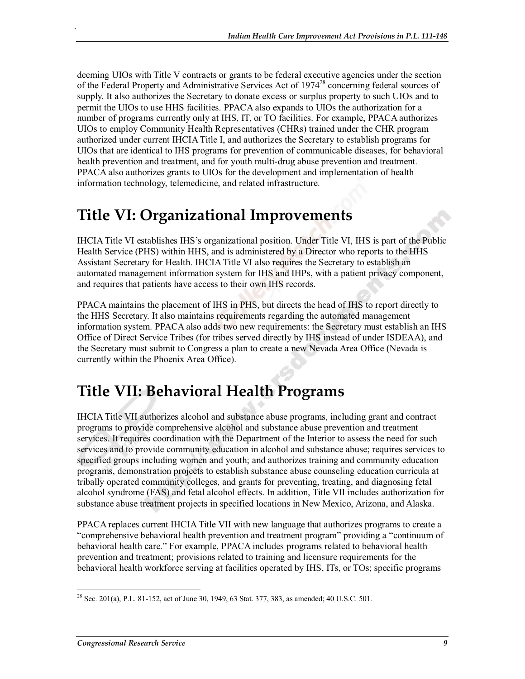deeming UIOs with Title V contracts or grants to be federal executive agencies under the section of the Federal Property and Administrative Services Act of 1974<sup>28</sup> concerning federal sources of supply. It also authorizes the Secretary to donate excess or surplus property to such UIOs and to permit the UIOs to use HHS facilities. PPACA also expands to UIOs the authorization for a number of programs currently only at IHS, IT, or TO facilities. For example, PPACA authorizes UIOs to employ Community Health Representatives (CHRs) trained under the CHR program authorized under current IHCIA Title I, and authorizes the Secretary to establish programs for UIOs that are identical to IHS programs for prevention of communicable diseases, for behavioral health prevention and treatment, and for youth multi-drug abuse prevention and treatment. PPACA also authorizes grants to UIOs for the development and implementation of health information technology, telemedicine, and related infrastructure.

### **Title VI: Organizational Improvements**

.

IHCIA Title VI establishes IHS's organizational position. Under Title VI, IHS is part of the Public Health Service (PHS) within HHS, and is administered by a Director who reports to the HHS Assistant Secretary for Health. IHCIA Title VI also requires the Secretary to establish an automated management information system for IHS and IHPs, with a patient privacy component, and requires that patients have access to their own IHS records.

PPACA maintains the placement of IHS in PHS, but directs the head of IHS to report directly to the HHS Secretary. It also maintains requirements regarding the automated management information system. PPACA also adds two new requirements: the Secretary must establish an IHS Office of Direct Service Tribes (for tribes served directly by IHS instead of under ISDEAA), and the Secretary must submit to Congress a plan to create a new Nevada Area Office (Nevada is currently within the Phoenix Area Office).

## **Title VII: Behavioral Health Programs**

IHCIA Title VII authorizes alcohol and substance abuse programs, including grant and contract programs to provide comprehensive alcohol and substance abuse prevention and treatment services. It requires coordination with the Department of the Interior to assess the need for such services and to provide community education in alcohol and substance abuse; requires services to specified groups including women and youth; and authorizes training and community education programs, demonstration projects to establish substance abuse counseling education curricula at tribally operated community colleges, and grants for preventing, treating, and diagnosing fetal alcohol syndrome (FAS) and fetal alcohol effects. In addition, Title VII includes authorization for substance abuse treatment projects in specified locations in New Mexico, Arizona, and Alaska.

PPACA replaces current IHCIA Title VII with new language that authorizes programs to create a "comprehensive behavioral health prevention and treatment program" providing a "continuum of behavioral health care." For example, PPACA includes programs related to behavioral health prevention and treatment; provisions related to training and licensure requirements for the behavioral health workforce serving at facilities operated by IHS, ITs, or TOs; specific programs

<sup>&</sup>lt;sup>28</sup> Sec. 201(a), P.L. 81-152, act of June 30, 1949, 63 Stat. 377, 383, as amended; 40 U.S.C. 501.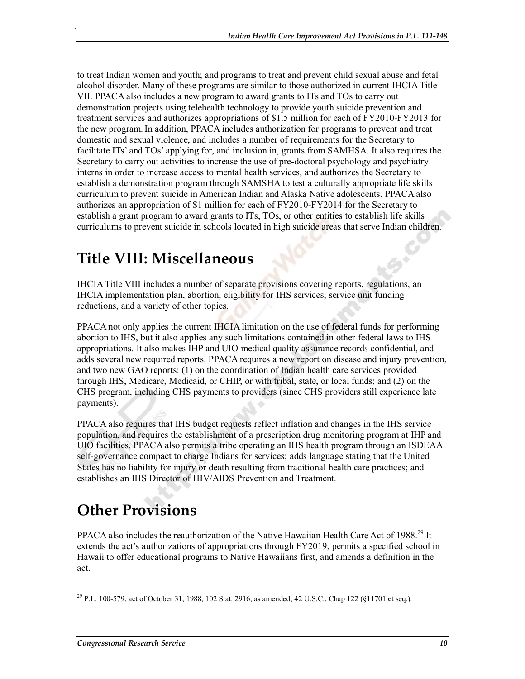to treat Indian women and youth; and programs to treat and prevent child sexual abuse and fetal alcohol disorder. Many of these programs are similar to those authorized in current IHCIA Title VII. PPACA also includes a new program to award grants to ITs and TOs to carry out demonstration projects using telehealth technology to provide youth suicide prevention and treatment services and authorizes appropriations of \$1.5 million for each of FY2010-FY2013 for the new program.In addition, PPACA includes authorization for programs to prevent and treat domestic and sexual violence, and includes a number of requirements for the Secretary to facilitate ITs' and TOs' applying for, and inclusion in, grants from SAMHSA. It also requires the Secretary to carry out activities to increase the use of pre-doctoral psychology and psychiatry interns in order to increase access to mental health services, and authorizes the Secretary to establish a demonstration program through SAMSHA to test a culturally appropriate life skills curriculum to prevent suicide in American Indian and Alaska Native adolescents. PPACA also authorizes an appropriation of \$1 million for each of FY2010-FY2014 for the Secretary to establish a grant program to award grants to ITs, TOs, or other entities to establish life skills curriculums to prevent suicide in schools located in high suicide areas that serve Indian children.

#### **Title VIII: Miscellaneous**

.

IHCIA Title VIII includes a number of separate provisions covering reports, regulations, an IHCIA implementation plan, abortion, eligibility for IHS services, service unit funding reductions, and a variety of other topics.

PPACA not only applies the current IHCIA limitation on the use of federal funds for performing abortion to IHS, but it also applies any such limitations contained in other federal laws to IHS appropriations. It also makes IHP and UIO medical quality assurance records confidential, and adds several new required reports. PPACA requires a new report on disease and injury prevention, and two new GAO reports: (1) on the coordination of Indian health care services provided through IHS, Medicare, Medicaid, or CHIP, or with tribal, state, or local funds; and (2) on the CHS program, including CHS payments to providers (since CHS providers still experience late payments).

PPACA also requires that IHS budget requests reflect inflation and changes in the IHS service population, and requires the establishment of a prescription drug monitoring program at IHP and UIO facilities. PPACA also permits a tribe operating an IHS health program through an ISDEAA self-governance compact to charge Indians for services; adds language stating that the United States has no liability for injury or death resulting from traditional health care practices; and establishes an IHS Director of HIV/AIDS Prevention and Treatment.

# **Other Provisions**

PPACA also includes the reauthorization of the Native Hawaiian Health Care Act of 1988.<sup>29</sup> It extends the act's authorizations of appropriations through FY2019, permits a specified school in Hawaii to offer educational programs to Native Hawaiians first, and amends a definition in the act.

<sup>&</sup>lt;sup>29</sup> P.L. 100-579, act of October 31, 1988, 102 Stat. 2916, as amended; 42 U.S.C., Chap 122 (§11701 et seq.).